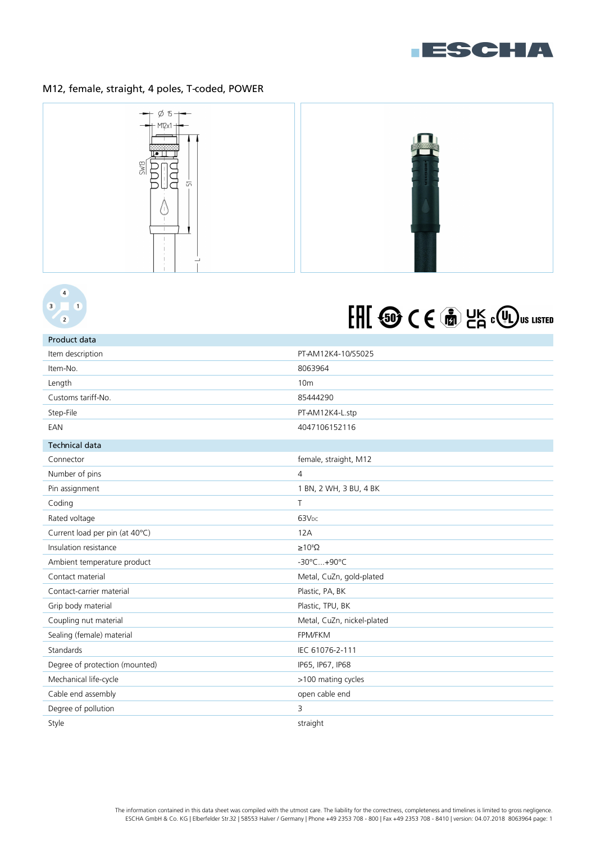

## M12, female, straight, 4 poles, T-coded, POWER



### $\overline{4}$  $\overline{3}$  $\sqrt{1}$  $\overline{2}$

# FHI <sup>6</sup> CE m HK COU US LISTED

| Product data                   |                            |
|--------------------------------|----------------------------|
| Item description               | PT-AM12K4-10/S5025         |
| Item-No.                       | 8063964                    |
| Length                         | 10 <sub>m</sub>            |
| Customs tariff-No.             | 85444290                   |
| Step-File                      | PT-AM12K4-L.stp            |
| EAN                            | 4047106152116              |
| <b>Technical data</b>          |                            |
| Connector                      | female, straight, M12      |
| Number of pins                 | $\overline{4}$             |
| Pin assignment                 | 1 BN, 2 WH, 3 BU, 4 BK     |
| Coding                         | $\top$                     |
| Rated voltage                  | 63V <sub>DC</sub>          |
| Current load per pin (at 40°C) | 12A                        |
| Insulation resistance          | $\geq 10^8 \Omega$         |
| Ambient temperature product    | -30°C+90°C                 |
| Contact material               | Metal, CuZn, gold-plated   |
| Contact-carrier material       | Plastic, PA, BK            |
| Grip body material             | Plastic, TPU, BK           |
| Coupling nut material          | Metal, CuZn, nickel-plated |
| Sealing (female) material      | FPM/FKM                    |
| Standards                      | IEC 61076-2-111            |
| Degree of protection (mounted) | IP65, IP67, IP68           |
| Mechanical life-cycle          | >100 mating cycles         |
| Cable end assembly             | open cable end             |
| Degree of pollution            | 3                          |
| Style                          | straight                   |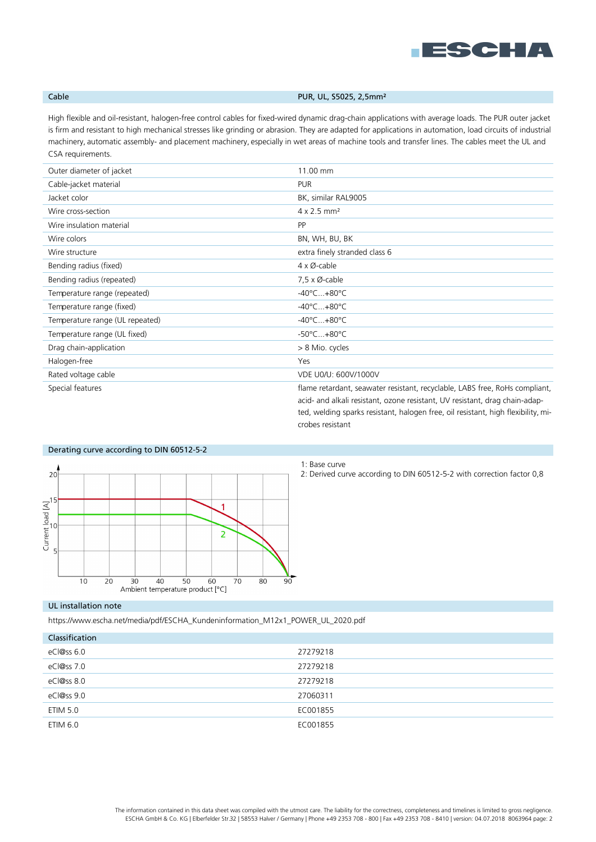

## Cable **Cable Cable PUR, UL, S5025, 2,5mm<sup>2</sup>**

High flexible and oil-resistant, halogen-free control cables for fixed-wired dynamic drag-chain applications with average loads. The PUR outer jacket is firm and resistant to high mechanical stresses like grinding or abrasion. They are adapted for applications in automation, load circuits of industrial machinery, automatic assembly- and placement machinery, especially in wet areas of machine tools and transfer lines. The cables meet the UL and CSA requirements.

| Outer diameter of jacket        | 11.00 mm                                                                                                                                                                                                                                        |
|---------------------------------|-------------------------------------------------------------------------------------------------------------------------------------------------------------------------------------------------------------------------------------------------|
| Cable-jacket material           | <b>PUR</b>                                                                                                                                                                                                                                      |
| Jacket color                    | BK, similar RAL9005                                                                                                                                                                                                                             |
| Wire cross-section              | $4 \times 2.5$ mm <sup>2</sup>                                                                                                                                                                                                                  |
| Wire insulation material        | <b>PP</b>                                                                                                                                                                                                                                       |
| Wire colors                     | BN, WH, BU, BK                                                                                                                                                                                                                                  |
| Wire structure                  | extra finely stranded class 6                                                                                                                                                                                                                   |
| Bending radius (fixed)          | $4 \times \emptyset$ -cable                                                                                                                                                                                                                     |
| Bending radius (repeated)       | $7.5 \times \emptyset$ -cable                                                                                                                                                                                                                   |
| Temperature range (repeated)    | $-40^{\circ}$ C $+80^{\circ}$ C                                                                                                                                                                                                                 |
| Temperature range (fixed)       | $-40^{\circ}$ C $+80^{\circ}$ C                                                                                                                                                                                                                 |
| Temperature range (UL repeated) | $-40^{\circ}$ C $+80^{\circ}$ C                                                                                                                                                                                                                 |
| Temperature range (UL fixed)    | $-50^{\circ}$ C $+80^{\circ}$ C                                                                                                                                                                                                                 |
| Drag chain-application          | > 8 Mio. cycles                                                                                                                                                                                                                                 |
| Halogen-free                    | Yes                                                                                                                                                                                                                                             |
| Rated voltage cable             | VDE U0/U: 600V/1000V                                                                                                                                                                                                                            |
| Special features                | flame retardant, seawater resistant, recyclable, LABS free, RoHs compliant,<br>acid- and alkali resistant, ozone resistant, UV resistant, drag chain-adap-<br>ted, welding sparks resistant, halogen free, oil resistant, high flexibility, mi- |



## 1: Base curve

crobes resistant

2: Derived curve according to DIN 60512-5-2 with correction factor 0,8

## UL installation note

https://www.escha.net/media/pdf/ESCHA\_Kundeninformation\_M12x1\_POWER\_UL\_2020.pdf

| Classification |          |
|----------------|----------|
| eCl@ss 6.0     | 27279218 |
| eCl@ss 7.0     | 27279218 |
| eCl@ss 8.0     | 27279218 |
| eCl@ss 9.0     | 27060311 |
| ETIM 5.0       | EC001855 |
| ETIM 6.0       | EC001855 |